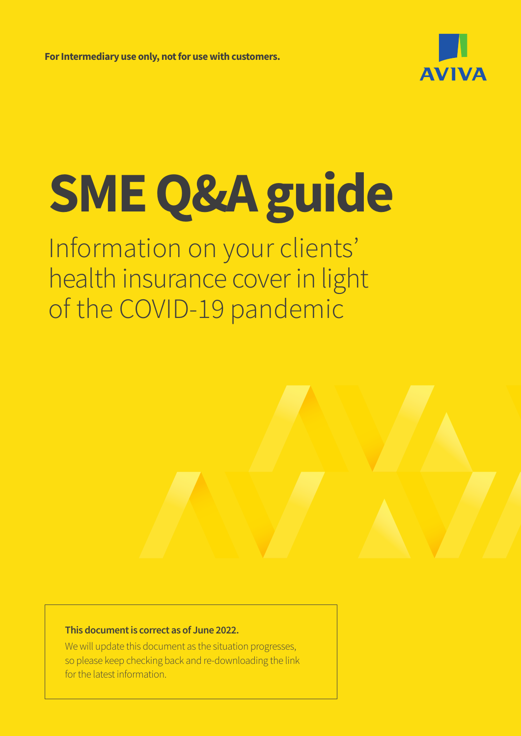**For Intermediary use only, not for use with customers.** 



# **SME Q&A guide**

Information on your clients' health insurance cover in light of the COVID-19 pandemic

#### **This document is correct as of June 2022.**

We will update this document as the situation progresses, so please keep checking back and re-downloading the link for the latest information.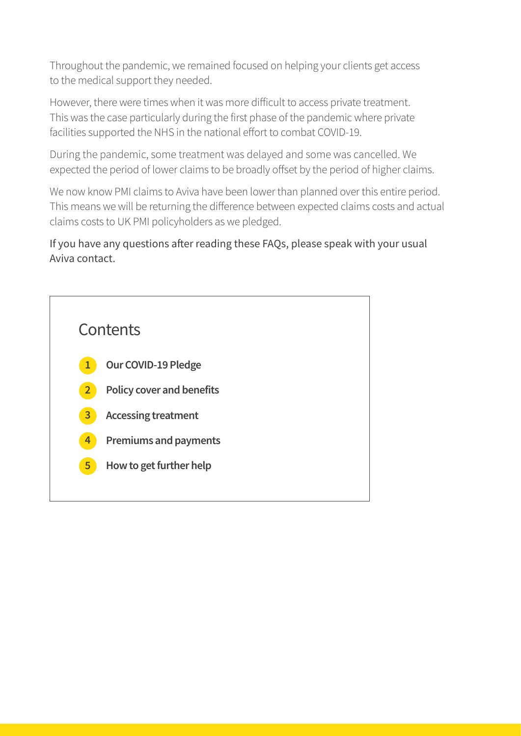Throughout the pandemic, we remained focused on helping your clients get access to the medical support they needed.

However, there were times when it was more difficult to access private treatment. This was the case particularly during the first phase of the pandemic where private facilities supported the NHS in the national effort to combat COVID-19.

During the pandemic, some treatment was delayed and some was cancelled. We expected the period of lower claims to be broadly offset by the period of higher claims.

We now know PMI claims to Aviva have been lower than planned over this entire period. This means we will be returning the difference between expected claims costs and actual claims costs to UK PMI policyholders as we pledged.

If you have any questions after reading these FAQs, please speak with your usual Aviva contact.

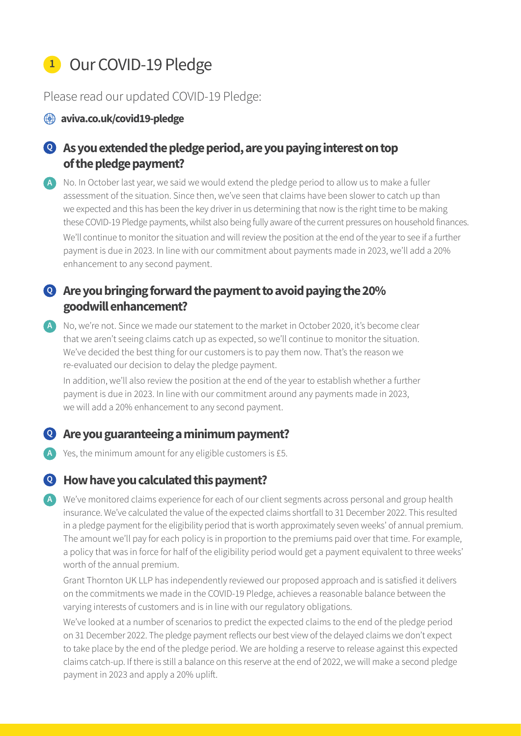# **<sup>1</sup>** Our COVID-19 Pledge

#### Please read our updated COVID-19 Pledge:

#### **<sup>4</sup>** aviva.co.uk/covid19-pledge

# **As you extended the pledge period, are you paying interest on top Q of the pledge payment?**

A No. In October last year, we said we would extend the pledge period to allow us to make a fuller assessment of the situation. Since then, we've seen that claims have been slower to catch up than we expected and this has been the key driver in us determining that now is the right time to be making these COVID-19 Pledge payments, whilst also being fully aware of the current pressures on household finances.

We'll continue to monitor the situation and will review the position at the end of the year to see if a further payment is due in 2023. In line with our commitment about payments made in 2023, we'll add a 20% enhancement to any second payment.

# **Are you bringing forward the payment to avoid paying the 20% Q goodwill enhancement?**

A No, we're not. Since we made our statement to the market in October 2020, it's become clear that we aren't seeing claims catch up as expected, so we'll continue to monitor the situation. We've decided the best thing for our customers is to pay them now. That's the reason we re-evaluated our decision to delay the pledge payment.

In addition, we'll also review the position at the end of the year to establish whether a further payment is due in 2023. In line with our commitment around any payments made in 2023, we will add a 20% enhancement to any second payment.

#### **Are you guaranteeing a minimum payment? Q**

Yes, the minimum amount for any eligible customers is £5. **A**

#### **How have you calculated this payment? Q**

We've monitored claims experience for each of our client segments across personal and group health **A**insurance. We've calculated the value of the expected claims shortfall to 31 December 2022. This resulted in a pledge payment for the eligibility period that is worth approximately seven weeks' of annual premium. The amount we'll pay for each policy is in proportion to the premiums paid over that time. For example, a policy that was in force for half of the eligibility period would get a payment equivalent to three weeks' worth of the annual premium.

Grant Thornton UK LLP has independently reviewed our proposed approach and is satisfied it delivers on the commitments we made in the COVID-19 Pledge, achieves a reasonable balance between the varying interests of customers and is in line with our regulatory obligations.

We've looked at a number of scenarios to predict the expected claims to the end of the pledge period on 31 December 2022. The pledge payment reflects our best view of the delayed claims we don't expect to take place by the end of the pledge period. We are holding a reserve to release against this expected claims catch-up. If there is still a balance on this reserve at the end of 2022, we will make a second pledge payment in 2023 and apply a 20% uplift.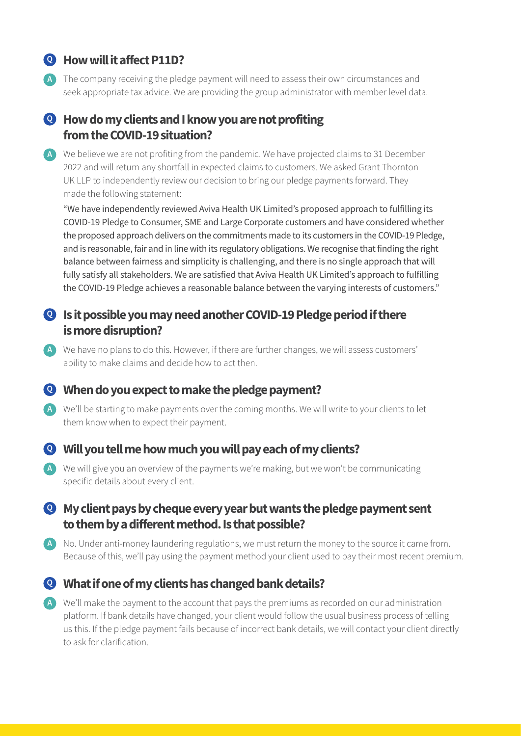# **How will it affect P11D? Q**

The company receiving the pledge payment will need to assess their own circumstances and **A** seek appropriate tax advice. We are providing the group administrator with member level data.

## **How do my clients and I know you are not profiting Q from the COVID-19 situation?**

We believe we are not profiting from the pandemic. We have projected claims to 31 December **A** 2022 and will return any shortfall in expected claims to customers. We asked Grant Thornton UK LLP to independently review our decision to bring our pledge payments forward. They made the following statement:

"We have independently reviewed Aviva Health UK Limited's proposed approach to fulfilling its COVID-19 Pledge to Consumer, SME and Large Corporate customers and have considered whether the proposed approach delivers on the commitments made to its customers in the COVID-19 Pledge, and is reasonable, fair and in line with its regulatory obligations. We recognise that finding the right balance between fairness and simplicity is challenging, and there is no single approach that will fully satisfy all stakeholders. We are satisfied that Aviva Health UK Limited's approach to fulfilling the COVID-19 Pledge achieves a reasonable balance between the varying interests of customers."

#### **Is it possible you may need another COVID-19 Pledge period if there Q is more disruption?**

We have no plans to do this. However, if there are further changes, we will assess customers' **A** ability to make claims and decide how to act then.

#### **When do you expect to make the pledge payment? Q**

A We'll be starting to make payments over the coming months. We will write to your clients to let them know when to expect their payment.

#### **Will you tell me how much you will pay each of my clients? Q**

We will give you an overview of the payments we're making, but we won't be communicating **A** specific details about every client.

#### **My client pays by cheque every year but wants the pledge payment sent Q to them by a different method. Is that possible?**

A No. Under anti-money laundering regulations, we must return the money to the source it came from. Because of this, we'll pay using the payment method your client used to pay their most recent premium.

# **What if one of my clients has changed bank details? Q**

We'll make the payment to the account that pays the premiums as recorded on our administration **A**platform. If bank details have changed, your client would follow the usual business process of telling us this. If the pledge payment fails because of incorrect bank details, we will contact your client directly to ask for clarification.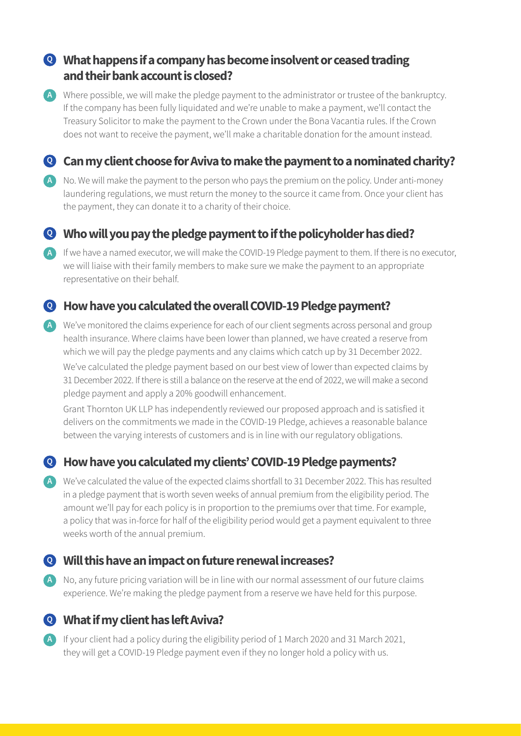## **What happens if a company has become insolvent or ceased trading Q and their bank account is closed?**

Where possible, we will make the pledge payment to the administrator or trustee of the bankruptcy. **A** If the company has been fully liquidated and we're unable to make a payment, we'll contact the Treasury Solicitor to make the payment to the Crown under the Bona Vacantia rules. If the Crown does not want to receive the payment, we'll make a charitable donation for the amount instead.

## **Can my client choose for Aviva to make the payment to a nominated charity? Q**

- No. We will make the payment to the person who pays the premium on the policy. Under anti-money **A** laundering regulations, we must return the money to the source it came from. Once your client has the payment, they can donate it to a charity of their choice.
- **Who will you pay the pledge payment to if the policyholder has died? Q**
- A If we have a named executor, we will make the COVID-19 Pledge payment to them. If there is no executor, we will liaise with their family members to make sure we make the payment to an appropriate representative on their behalf.

#### **How have you calculated the overall COVID-19 Pledge payment? Q**

A We've monitored the claims experience for each of our client segments across personal and group health insurance. Where claims have been lower than planned, we have created a reserve from which we will pay the pledge payments and any claims which catch up by 31 December 2022. We've calculated the pledge payment based on our best view of lower than expected claims by

31 December 2022. If there is still a balance on the reserve at the end of 2022, we will make a second pledge payment and apply a 20% goodwill enhancement.

Grant Thornton UK LLP has independently reviewed our proposed approach and is satisfied it delivers on the commitments we made in the COVID-19 Pledge, achieves a reasonable balance between the varying interests of customers and is in line with our regulatory obligations.

#### **How have you calculated my clients' COVID-19 Pledge payments? Q**

We've calculated the value of the expected claims shortfall to 31 December 2022. This has resulted **A** in a pledge payment that is worth seven weeks of annual premium from the eligibility period. The amount we'll pay for each policy is in proportion to the premiums over that time. For example, a policy that was in-force for half of the eligibility period would get a payment equivalent to three weeks worth of the annual premium.

#### **Will this have an impact on future renewal increases? Q**

No, any future pricing variation will be in line with our normal assessment of our future claims **A** experience. We're making the pledge payment from a reserve we have held for this purpose.

#### **What if my client has left Aviva? Q**

A If your client had a policy during the eligibility period of 1 March 2020 and 31 March 2021, they will get a COVID-19 Pledge payment even if they no longer hold a policy with us.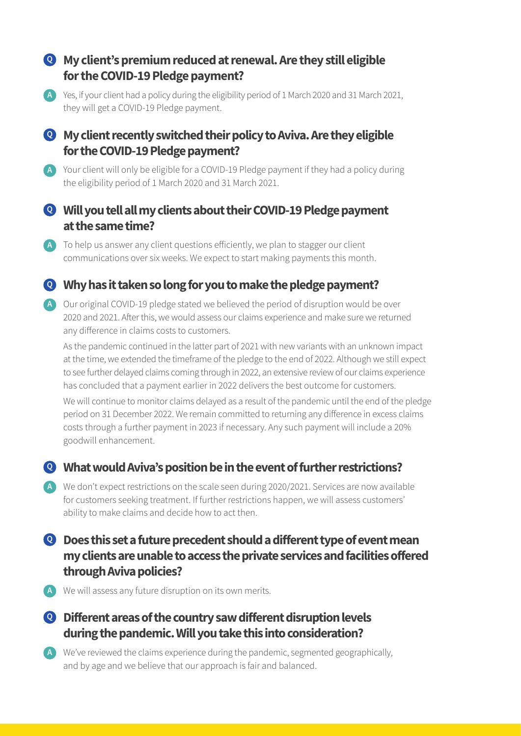### **My client's premium reduced at renewal. Are they still eligible Q for the COVID-19 Pledge payment?**

A Yes, if your client had a policy during the eligibility period of 1 March 2020 and 31 March 2021, they will get a COVID-19 Pledge payment.

#### **My client recently switched their policy to Aviva. Are they eligible Q for the COVID-19 Pledge payment?**

A Your client will only be eligible for a COVID-19 Pledge payment if they had a policy during the eligibility period of 1 March 2020 and 31 March 2021.

#### **Will you tell all my clients about their COVID-19 Pledge payment Q at the same time?**

A To help us answer any client questions efficiently, we plan to stagger our client communications over six weeks. We expect to start making payments this month.

## **Why has it taken so long for you to make the pledge payment? Q**

Our original COVID-19 pledge stated we believed the period of disruption would be over **A** 2020 and 2021. After this, we would assess our claims experience and make sure we returned any difference in claims costs to customers.

As the pandemic continued in the latter part of 2021 with new variants with an unknown impact at the time, we extended the timeframe of the pledge to the end of 2022. Although we still expect to see further delayed claims coming through in 2022, an extensive review of our claims experience has concluded that a payment earlier in 2022 delivers the best outcome for customers.

We will continue to monitor claims delayed as a result of the pandemic until the end of the pledge period on 31 December 2022. We remain committed to returning any difference in excess claims costs through a further payment in 2023 if necessary. Any such payment will include a 20% goodwill enhancement.

#### **What would Aviva's position be in the event of further restrictions? Q**

We don't expect restrictions on the scale seen during 2020/2021. Services are now available **A** for customers seeking treatment. If further restrictions happen, we will assess customers' ability to make claims and decide how to act then.

## **Does this set a future precedent should a different type of event mean Q my clients are unable to access the private services and facilities offered through Aviva policies?**

- We will assess any future disruption on its own merits. **A**
- **Different areas of the country saw different disruption levels Q during the pandemic. Will you take this into consideration?**
- We've reviewed the claims experience during the pandemic, segmented geographically, **A**and by age and we believe that our approach is fair and balanced.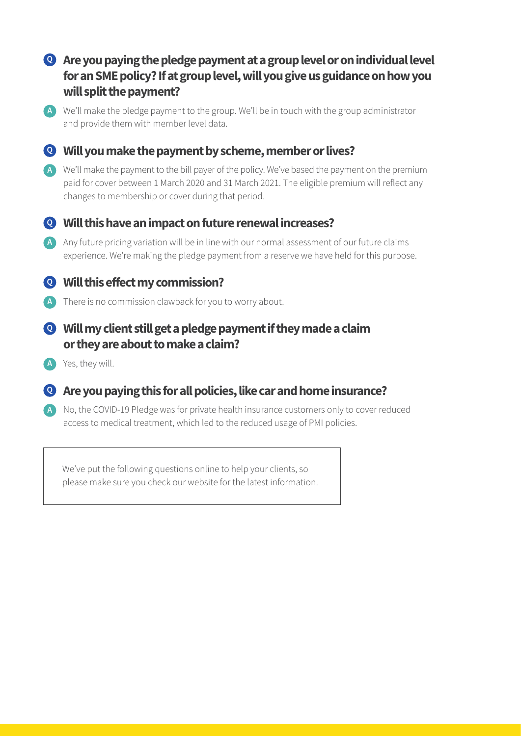# **Are you paying the pledge payment at a group level or on individual level Q for an SME policy? If at group level, will you give us guidance on how you will split the payment?**

We'll make the pledge payment to the group. We'll be in touch with the group administrator **A** and provide them with member level data.

#### **Will you make the payment by scheme, member or lives? Q**

We'll make the payment to the bill payer of the policy. We've based the payment on the premium **A** paid for cover between 1 March 2020 and 31 March 2021. The eligible premium will reflect any changes to membership or cover during that period.

# **Will this have an impact on future renewal increases? Q**

A Any future pricing variation will be in line with our normal assessment of our future claims experience. We're making the pledge payment from a reserve we have held for this purpose.

#### **Will this effect my commission? Q**

- A There is no commission clawback for you to worry about.
- **Will my client still get a pledge payment if they made a claim Q or they are about to make a claim?**
- Yes, they will. **A**
- **Are you paying this for all policies, like car and home insurance? Q**
- A No, the COVID-19 Pledge was for private health insurance customers only to cover reduced access to medical treatment, which led to the reduced usage of PMI policies.

We've put the following questions online to help your clients, so please make sure you check our website for the latest information.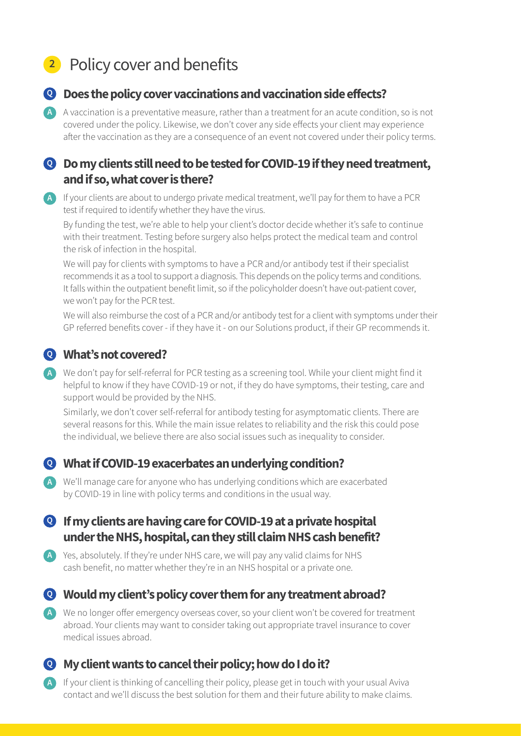# **<sup>2</sup>** Policy cover and benefits



#### **Does the policy cover vaccinations and vaccination side effects? Q**

A vaccination is a preventative measure, rather than a treatment for an acute condition, so is not **A** covered under the policy. Likewise, we don't cover any side effects your client may experience after the vaccination as they are a consequence of an event not covered under their policy terms.

#### **Do my clients still need to be tested for COVID-19 if they need treatment, Q and if so, what cover is there?**

A If your clients are about to undergo private medical treatment, we'll pay for them to have a PCR test if required to identify whether they have the virus.

By funding the test, we're able to help your client's doctor decide whether it's safe to continue with their treatment. Testing before surgery also helps protect the medical team and control the risk of infection in the hospital.

We will pay for clients with symptoms to have a PCR and/or antibody test if their specialist recommends it as a tool to support a diagnosis. This depends on the policy terms and conditions. It falls within the outpatient benefit limit, so if the policyholder doesn't have out-patient cover, we won't pay for the PCR test.

We will also reimburse the cost of a PCR and/or antibody test for a client with symptoms under their GP referred benefits cover - if they have it - on our Solutions product, if their GP recommends it.

#### **What's not covered? Q**

We don't pay for self-referral for PCR testing as a screening tool. While your client might find it **A** helpful to know if they have COVID-19 or not, if they do have symptoms, their testing, care and support would be provided by the NHS.

Similarly, we don't cover self-referral for antibody testing for asymptomatic clients. There are several reasons for this. While the main issue relates to reliability and the risk this could pose the individual, we believe there are also social issues such as inequality to consider.

#### **What if COVID-19 exacerbates an underlying condition? Q**

We'll manage care for anyone who has underlying conditions which are exacerbated **A** by COVID-19 in line with policy terms and conditions in the usual way.

#### **If my clients are having care for COVID-19 at a private hospital Q under the NHS, hospital, can they still claim NHS cash benefit?**

A Yes, absolutely. If they're under NHS care, we will pay any valid claims for NHS cash benefit, no matter whether they're in an NHS hospital or a private one.

#### **Would my client's policy cover them for any treatment abroad? Q**

We no longer offer emergency overseas cover, so your client won't be covered for treatment **A** abroad. Your clients may want to consider taking out appropriate travel insurance to cover medical issues abroad.



#### **My client wants to cancel their policy; how do I do it? Q**

A If your client is thinking of cancelling their policy, please get in touch with your usual Aviva contact and we'll discuss the best solution for them and their future ability to make claims.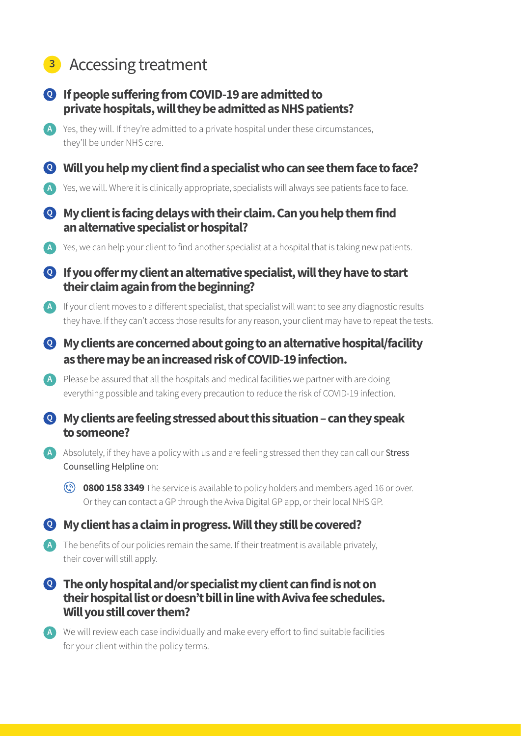# **<sup>3</sup>** Accessing treatment

- **If people suffering from COVID-19 are admitted to Q private hospitals, will they be admitted as NHS patients?**
- A Yes, they will. If they're admitted to a private hospital under these circumstances, they'll be under NHS care.
- **Will you help my client find a specialist who can see them face to face? Q**
- A Yes, we will. Where it is clinically appropriate, specialists will always see patients face to face.
- **My client is facing delays with their claim. Can you help them find Q an alternative specialist or hospital?**
- A Yes, we can help your client to find another specialist at a hospital that is taking new patients.
- **If you offer my client an alternative specialist, will they have to start Q their claim again from the beginning?**
- A If your client moves to a different specialist, that specialist will want to see any diagnostic results they have. If they can't access those results for any reason, your client may have to repeat the tests.
- **My clients are concerned about going to an alternative hospital/facility Q as there may be an increased risk of COVID-19 infection.**
- A Please be assured that all the hospitals and medical facilities we partner with are doing everything possible and taking every precaution to reduce the risk of COVID-19 infection.
- **My clients are feeling stressed about this situation can they speak Q to someone?**
- A Absolutely, if they have a policy with us and are feeling stressed then they can call our **Stress** Counselling Helpline on:
	- **(v) 0800 158 3349** The service is available to policy holders and members aged 16 or over. Or they can contact a GP through the Aviva Digital GP app, or their local NHS GP.

# **My client has a claim in progress. Will they still be covered? Q**

- The benefits of our policies remain the same. If their treatment is available privately, **A** their cover will still apply.
- **The only hospital and/or specialist my client can find is not on Q their hospital list or doesn't bill in line with Aviva fee schedules. Will you still cover them?**
- We will review each case individually and make every effort to find suitable facilities **A**for your client within the policy terms.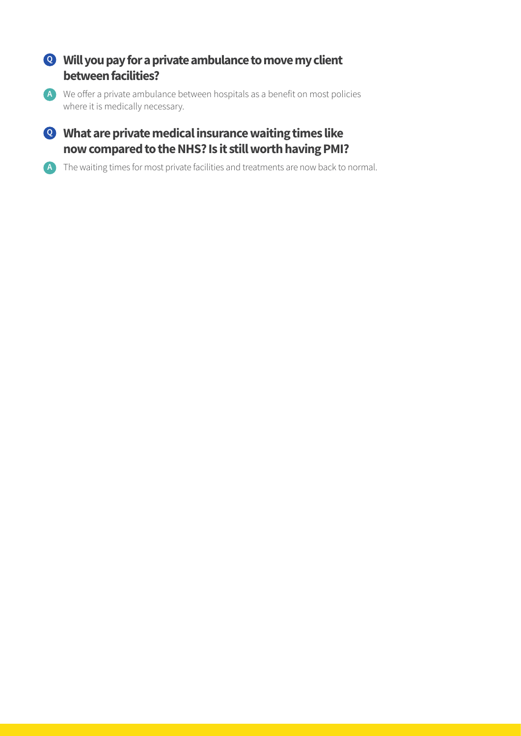### **Will you pay for a private ambulance to move my client Q between facilities?**

We offer a private ambulance between hospitals as a benefit on most policies **A** where it is medically necessary.

### **What are private medical insurance waiting times like Q now compared to the NHS? Is it still worth having PMI?**

The waiting times for most private facilities and treatments are now back to normal. **A**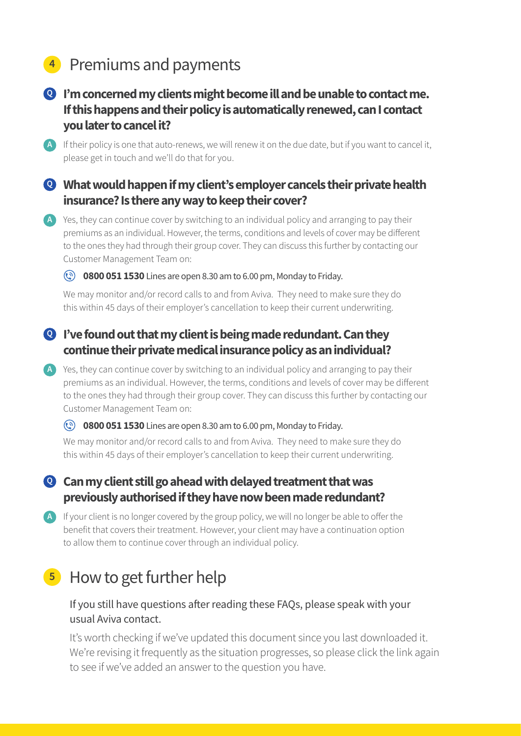# **<sup>4</sup>** Premiums and payments



If their policy is one that auto-renews, we will renew it on the due date, but if you want to cancel it, **A** please get in touch and we'll do that for you.

#### **What would happen if my client's employer cancels their private health Q insurance? Is there any way to keep their cover?**

A Yes, they can continue cover by switching to an individual policy and arranging to pay their premiums as an individual. However, the terms, conditions and levels of cover may be different to the ones they had through their group cover. They can discuss this further by contacting our Customer Management Team on:

#### **(c) 0800 051 1530** Lines are open 8.30 am to 6.00 pm, Monday to Friday.

We may monitor and/or record calls to and from Aviva. They need to make sure they do this within 45 days of their employer's cancellation to keep their current underwriting.

#### **I've found out that my client is being made redundant. Can they Q continue their private medical insurance policy as an individual?**

A Yes, they can continue cover by switching to an individual policy and arranging to pay their premiums as an individual. However, the terms, conditions and levels of cover may be different to the ones they had through their group cover. They can discuss this further by contacting our Customer Management Team on:

#### **(c) 0800 051 1530** Lines are open 8.30 am to 6.00 pm, Monday to Friday.

We may monitor and/or record calls to and from Aviva. They need to make sure they do this within 45 days of their employer's cancellation to keep their current underwriting.

#### **Can my client still go ahead with delayed treatment that was Q previously authorised if they have now been made redundant?**

A If your client is no longer covered by the group policy, we will no longer be able to offer the benefit that covers their treatment. However, your client may have a continuation option to allow them to continue cover through an individual policy.

# **<sup>5</sup>** How to get further help

#### If you still have questions after reading these FAQs, please speak with your usual Aviva contact.

 It's worth checking if we've updated this document since you last downloaded it. We're revising it frequently as the situation progresses, so please click the link again to see if we've added an answer to the question you have.